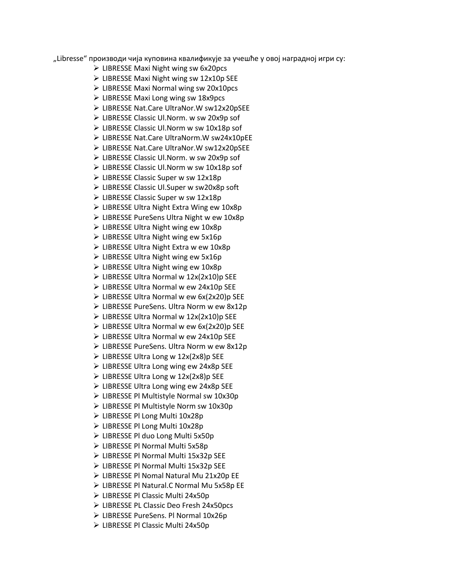"Libresse" производи чија куповина квалификује за учешће у овој наградној игри су:

- ➢ LIBRESSE Maxi Night wing sw 6x20pcs
- ➢ LIBRESSE Maxi Night wing sw 12x10p SEE
- ➢ LIBRESSE Maxi Normal wing sw 20x10pcs
- ➢ LIBRESSE Maxi Long wing sw 18x9pcs
- ➢ LIBRESSE Nat.Care UltraNor.W sw12x20pSEE
- ➢ LIBRESSE Classic Ul.Norm. w sw 20x9p sof
- ➢ LIBRESSE Classic Ul.Norm w sw 10x18p sof
- ➢ LIBRESSE Nat.Care UltraNorm.W sw24x10pEE
- ➢ LIBRESSE Nat.Care UltraNor.W sw12x20pSEE
- ➢ LIBRESSE Classic Ul.Norm. w sw 20x9p sof
- ➢ LIBRESSE Classic Ul.Norm w sw 10x18p sof
- ➢ LIBRESSE Classic Super w sw 12x18p
- ➢ LIBRESSE Classic Ul.Super w sw20x8p soft
- ➢ LIBRESSE Classic Super w sw 12x18p
- ➢ LIBRESSE Ultra Night Extra Wing ew 10x8p
- ➢ LIBRESSE PureSens Ultra Night w ew 10x8p
- ➢ LIBRESSE Ultra Night wing ew 10x8p
- ➢ LIBRESSE Ultra Night wing ew 5x16p
- ➢ LIBRESSE Ultra Night Extra w ew 10x8p
- ➢ LIBRESSE Ultra Night wing ew 5x16p
- ➢ LIBRESSE Ultra Night wing ew 10x8p
- ➢ LIBRESSE Ultra Normal w 12x(2x10)p SEE
- ➢ LIBRESSE Ultra Normal w ew 24x10p SEE
- $\triangleright$  LIBRESSE Ultra Normal w ew 6x(2x20)p SEE
- ➢ LIBRESSE PureSens. Ultra Norm w ew 8x12p
- ➢ LIBRESSE Ultra Normal w 12x(2x10)p SEE
- ➢ LIBRESSE Ultra Normal w ew 6x(2x20)p SEE
- ➢ LIBRESSE Ultra Normal w ew 24x10p SEE
- ➢ LIBRESSE PureSens. Ultra Norm w ew 8x12p
- $\triangleright$  LIBRESSE Ultra Long w 12x(2x8)p SEE
- ➢ LIBRESSE Ultra Long wing ew 24x8p SEE
- ➢ LIBRESSE Ultra Long w 12x(2x8)p SEE
- ➢ LIBRESSE Ultra Long wing ew 24x8p SEE
- ➢ LIBRESSE Pl Multistyle Normal sw 10x30p
- ➢ LIBRESSE Pl Multistyle Norm sw 10x30p
- ➢ LIBRESSE Pl Long Multi 10x28p
- ➢ LIBRESSE Pl Long Multi 10x28p
- ➢ LIBRESSE Pl duo Long Multi 5x50p
- ➢ LIBRESSE Pl Normal Multi 5x58p
- ➢ LIBRESSE Pl Normal Multi 15x32p SEE
- ➢ LIBRESSE Pl Normal Multi 15x32p SEE
- ➢ LIBRESSE Pl Nomal Natural Mu 21x20p EE
- ➢ LIBRESSE Pl Natural.C Normal Mu 5x58p EE
- ➢ LIBRESSE Pl Classic Multi 24x50p
- ➢ LIBRESSE PL Classic Deo Fresh 24x50pcs
- ➢ LIBRESSE PureSens. Pl Normal 10x26p
- ➢ LIBRESSE Pl Classic Multi 24x50p